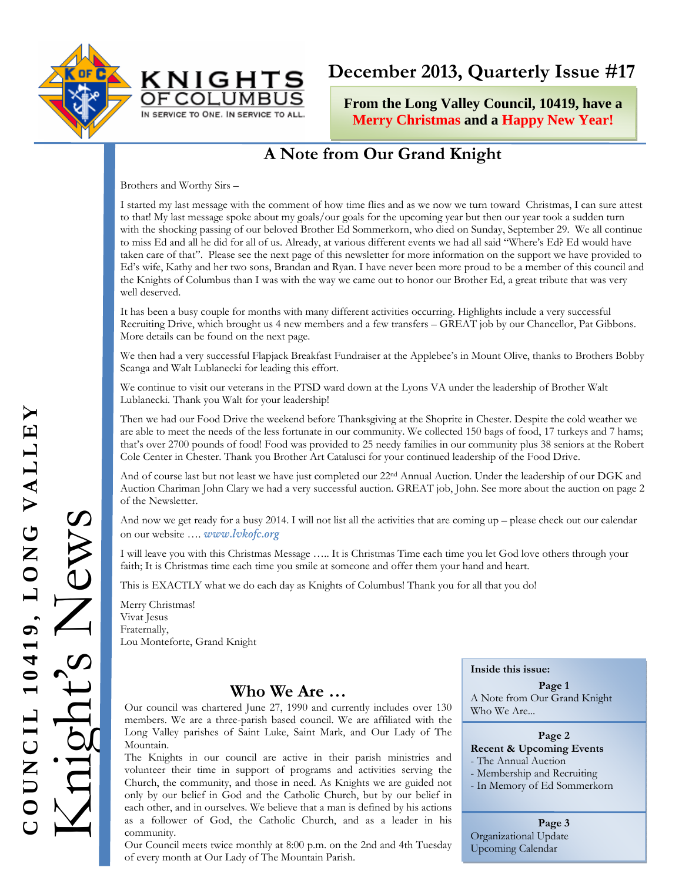



# **December 2013, Quarterly Issue #17**

**From the Long Valley Council, 10419, have a Merry Christmas and a Happy New Year!**

## **A Note from Our Grand Knight**

Brothers and Worthy Sirs –

I started my last message with the comment of how time flies and as we now we turn toward Christmas, I can sure attest to that! My last message spoke about my goals/our goals for the upcoming year but then our year took a sudden turn with the shocking passing of our beloved Brother Ed Sommerkorn, who died on Sunday, September 29. We all continue to miss Ed and all he did for all of us. Already, at various different events we had all said "Where's Ed? Ed would have taken care of that". Please see the next page of this newsletter for more information on the support we have provided to Ed's wife, Kathy and her two sons, Brandan and Ryan. I have never been more proud to be a member of this council and the Knights of Columbus than I was with the way we came out to honor our Brother Ed, a great tribute that was very well deserved.

It has been a busy couple for months with many different activities occurring. Highlights include a very successful Recruiting Drive, which brought us 4 new members and a few transfers – GREAT job by our Chancellor, Pat Gibbons. More details can be found on the next page.

We then had a very successful Flapjack Breakfast Fundraiser at the Applebee's in Mount Olive, thanks to Brothers Bobby Scanga and Walt Lublanecki for leading this effort.

We continue to visit our veterans in the PTSD ward down at the Lyons VA under the leadership of Brother Walt Lublanecki. Thank you Walt for your leadership!

Then we had our Food Drive the weekend before Thanksgiving at the Shoprite in Chester. Despite the cold weather we are able to meet the needs of the less fortunate in our community. We collected 150 bags of food, 17 turkeys and 7 hams; that's over 2700 pounds of food! Food was provided to 25 needy families in our community plus 38 seniors at the Robert Cole Center in Chester. Thank you Brother Art Catalusci for your continued leadership of the Food Drive.

And of course last but not least we have just completed our 22<sup>nd</sup> Annual Auction. Under the leadership of our DGK and Auction Chariman John Clary we had a very successful auction. GREAT job, John. See more about the auction on page 2 of the Newsletter.

And now we get ready for a busy 2014. I will not list all the activities that are coming up – please check out our calendar on our website …. *www.lvkofc.org* 

I will leave you with this Christmas Message ….. It is Christmas Time each time you let God love others through your faith; It is Christmas time each time you smile at someone and offer them your hand and heart.

This is EXACTLY what we do each day as Knights of Columbus! Thank you for all that you do!

Merry Christmas! Vivat Jesus Fraternally, Lou Monteforte, Grand Knight

### **Who We Are …**

Our council was chartered June 27, 1990 and currently includes over 130 members. We are a three-parish based council. We are affiliated with the Long Valley parishes of Saint Luke, Saint Mark, and Our Lady of The Mountain.

The Knights in our council are active in their parish ministries and volunteer their time in support of programs and activities serving the Church, the community, and those in need. As Knights we are guided not only by our belief in God and the Catholic Church, but by our belief in each other, and in ourselves. We believe that a man is defined by his actions as a follower of God, the Catholic Church, and as a leader in his community.

Our Council meets twice monthly at 8:00 p.m. on the 2nd and 4th Tuesday of every month at Our Lady of The Mountain Parish.

#### **Inside this issue:**

**Page 1**  A Note from Our Grand Knight Who We Are...

## **Page 2**

**Recent & Upcoming Events**  - The Annual Auction

- Membership and Recruiting
- In Memory of Ed Sommerkorn

**Page 3**  Organizational Update Upcoming Calendar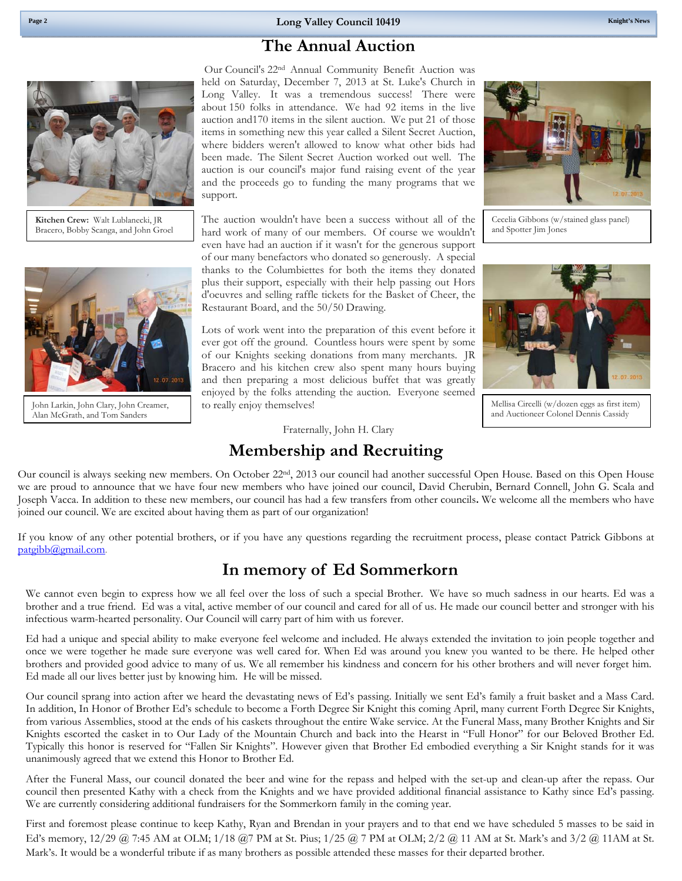### **The Annual Auction**



**Kitchen Crew:** Walt Lublanecki, JR Bracero, Bobby Scanga, and John Groel



John Larkin, John Clary, John Creamer, Alan McGrath, and Tom Sanders

Our Council's 22nd Annual Community Benefit Auction was held on Saturday, December 7, 2013 at St. Luke's Church in Long Valley. It was a tremendous success! There were about 150 folks in attendance. We had 92 items in the live auction and170 items in the silent auction. We put 21 of those items in something new this year called a Silent Secret Auction, where bidders weren't allowed to know what other bids had been made. The Silent Secret Auction worked out well. The auction is our council's major fund raising event of the year and the proceeds go to funding the many programs that we support.

The auction wouldn't have been a success without all of the hard work of many of our members. Of course we wouldn't even have had an auction if it wasn't for the generous support of our many benefactors who donated so generously. A special thanks to the Columbiettes for both the items they donated plus their support, especially with their help passing out Hors d'oeuvres and selling raffle tickets for the Basket of Cheer, the Restaurant Board, and the 50/50 Drawing.

Lots of work went into the preparation of this event before it ever got off the ground. Countless hours were spent by some of our Knights seeking donations from many merchants. JR Bracero and his kitchen crew also spent many hours buying and then preparing a most delicious buffet that was greatly enjoyed by the folks attending the auction. Everyone seemed to really enjoy themselves!

Fraternally, John H. Clary

### **Membership and Recruiting**



If you know of any other potential brothers, or if you have any questions regarding the recruitment process, please contact Patrick Gibbons at patgibb@gmail.com.

### **In memory of Ed Sommerkorn**

We cannot even begin to express how we all feel over the loss of such a special Brother. We have so much sadness in our hearts. Ed was a brother and a true friend. Ed was a vital, active member of our council and cared for all of us. He made our council better and stronger with his infectious warm-hearted personality. Our Council will carry part of him with us forever.

Ed had a unique and special ability to make everyone feel welcome and included. He always extended the invitation to join people together and once we were together he made sure everyone was well cared for. When Ed was around you knew you wanted to be there. He helped other brothers and provided good advice to many of us. We all remember his kindness and concern for his other brothers and will never forget him. Ed made all our lives better just by knowing him. He will be missed.

Our council sprang into action after we heard the devastating news of Ed's passing. Initially we sent Ed's family a fruit basket and a Mass Card. In addition, In Honor of Brother Ed's schedule to become a Forth Degree Sir Knight this coming April, many current Forth Degree Sir Knights, from various Assemblies, stood at the ends of his caskets throughout the entire Wake service. At the Funeral Mass, many Brother Knights and Sir Knights escorted the casket in to Our Lady of the Mountain Church and back into the Hearst in "Full Honor" for our Beloved Brother Ed. Typically this honor is reserved for "Fallen Sir Knights". However given that Brother Ed embodied everything a Sir Knight stands for it was unanimously agreed that we extend this Honor to Brother Ed.

After the Funeral Mass, our council donated the beer and wine for the repass and helped with the set-up and clean-up after the repass. Our council then presented Kathy with a check from the Knights and we have provided additional financial assistance to Kathy since Ed's passing. We are currently considering additional fundraisers for the Sommerkorn family in the coming year.

First and foremost please continue to keep Kathy, Ryan and Brendan in your prayers and to that end we have scheduled 5 masses to be said in Ed's memory, 12/29 @ 7:45 AM at OLM; 1/18 @7 PM at St. Pius; 1/25 @ 7 PM at OLM; 2/2 @ 11 AM at St. Mark's and 3/2 @ 11AM at St. Mark's. It would be a wonderful tribute if as many brothers as possible attended these masses for their departed brother.

Cecelia Gibbons (w/stained glass panel) and Spotter Jim Jones



Mellisa Circelli (w/dozen eggs as first item) and Auctioneer Colonel Dennis Cassidy